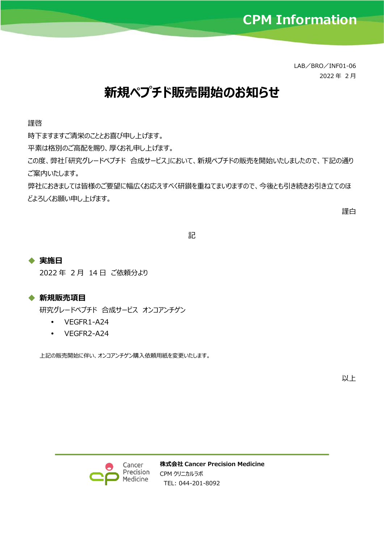LAB/BRO/INF01-06 2022 年 2 月

## **新規ペプチド販売開始のお知らせ**

謹啓

時下ますますご清栄のこととお喜び申し上げます。

平素は格別のご高配を賜り、厚くお礼申し上げます。

この度、弊社「研究グレードペプチド 合成サービス」において、新規ペプチドの販売を開始いたしましたので、下記の通り ご案内いたします。

弊社におきましては皆様のご要望に幅広くお応えすべく研鑚を重ねてまいりますので、今後とも引き続きお引き立てのほ どよろしくお願い申し上げます。

謹白

記

## ◆ **実施日**

2022 年 2 月 14 日 ご依頼分より

## ◆ **新規販売項目**

研究グレードペプチド 合成サービス オンコアンチゲン

- VEGFR1-A24
- VEGFR2-A24

上記の販売開始に伴い、オンコアンチゲン購入依頼用紙を変更いたします。

以上



**株式会社 Cancer Precision Medicine** CPM クリニカルラボ TEL: 044-201-8092